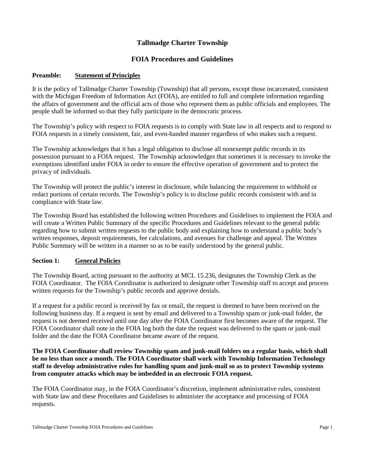# **Tallmadge Charter Township**

## **FOIA Procedures and Guidelines**

#### **Preamble: Statement of Principles**

It is the policy of Tallmadge Charter Township (Township) that all persons, except those incarcerated, consistent with the Michigan Freedom of Information Act (FOIA), are entitled to full and complete information regarding the affairs of government and the official acts of those who represent them as public officials and employees. The people shall be informed so that they fully participate in the democratic process.

The Township's policy with respect to FOIA requests is to comply with State law in all respects and to respond to FOIA requests in a timely consistent, fair, and even-handed manner regardless of who makes such a request.

The Township acknowledges that it has a legal obligation to disclose all nonexempt public records in its possession pursuant to a FOIA request. The Township acknowledges that sometimes it is necessary to invoke the exemptions identified under FOIA in order to ensure the effective operation of government and to protect the privacy of individuals.

The Township will protect the public's interest in disclosure, while balancing the requirement to withhold or redact portions of certain records. The Township's policy is to disclose public records consistent with and in compliance with State law.

The Township Board has established the following written Procedures and Guidelines to implement the FOIA and will create a Written Public Summary of the specific Procedures and Guidelines relevant to the general public regarding how to submit written requests to the public body and explaining how to understand a public body's written responses, deposit requirements, fee calculations, and avenues for challenge and appeal. The Written Public Summary will be written in a manner so as to be easily understood by the general public.

### **Section 1: General Policies**

The Township Board, acting pursuant to the authority at MCL 15.236, designates the Township Clerk as the FOIA Coordinator. The FOIA Coordinator is authorized to designate other Township staff to accept and process written requests for the Township's public records and approve denials.

If a request for a public record is received by fax or email, the request is deemed to have been received on the following business day. If a request is sent by email and delivered to a Township spam or junk-mail folder, the request is not deemed received until one day after the FOIA Coordinator first becomes aware of the request. The FOIA Coordinator shall note in the FOIA log both the date the request was delivered to the spam or junk-mail folder and the date the FOIA Coordinator became aware of the request.

**The FOIA Coordinator shall review Township spam and junk-mail folders on a regular basis, which shall be no less than once a month. The FOIA Coordinator shall work with Township Information Technology staff to develop administrative rules for handling spam and junk-mail so as to protect Township systems from computer attacks which may be imbedded in an electronic FOIA request.**

The FOIA Coordinator may, in the FOIA Coordinator's discretion, implement administrative rules, consistent with State law and these Procedures and Guidelines to administer the acceptance and processing of FOIA requests.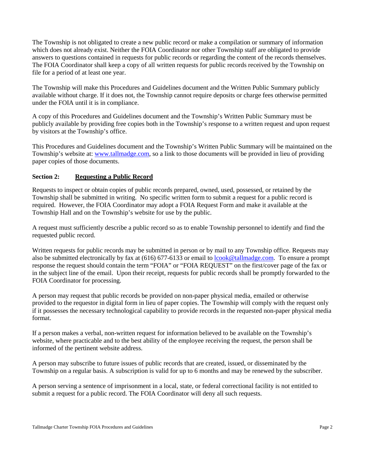The Township is not obligated to create a new public record or make a compilation or summary of information which does not already exist. Neither the FOIA Coordinator nor other Township staff are obligated to provide answers to questions contained in requests for public records or regarding the content of the records themselves. The FOIA Coordinator shall keep a copy of all written requests for public records received by the Township on file for a period of at least one year.

The Township will make this Procedures and Guidelines document and the Written Public Summary publicly available without charge. If it does not, the Township cannot require deposits or charge fees otherwise permitted under the FOIA until it is in compliance.

A copy of this Procedures and Guidelines document and the Township's Written Public Summary must be publicly available by providing free copies both in the Township's response to a written request and upon request by visitors at the Township's office.

This Procedures and Guidelines document and the Township's Written Public Summary will be maintained on the Township's website at: [www.tallmadge.com,](http://www.tallmadge.com/) so a link to those documents will be provided in lieu of providing paper copies of those documents.

### **Section 2: Requesting a Public Record**

Requests to inspect or obtain copies of public records prepared, owned, used, possessed, or retained by the Township shall be submitted in writing. No specific written form to submit a request for a public record is required. However, the FOIA Coordinator may adopt a FOIA Request Form and make it available at the Township Hall and on the Township's website for use by the public.

A request must sufficiently describe a public record so as to enable Township personnel to identify and find the requested public record.

Written requests for public records may be submitted in person or by mail to any Township office. Requests may also be submitted electronically by fax at (616) 677-6133 or email to [lcook@tallmadge.com.](mailto:lcook@tallmadge.com) To ensure a prompt response the request should contain the term "FOIA" or "FOIA REQUEST" on the first/cover page of the fax or in the subject line of the email. Upon their receipt, requests for public records shall be promptly forwarded to the FOIA Coordinator for processing.

A person may request that public records be provided on non-paper physical media, emailed or otherwise provided to the requestor in digital form in lieu of paper copies. The Township will comply with the request only if it possesses the necessary technological capability to provide records in the requested non-paper physical media format.

If a person makes a verbal, non-written request for information believed to be available on the Township's website, where practicable and to the best ability of the employee receiving the request, the person shall be informed of the pertinent website address.

A person may subscribe to future issues of public records that are created, issued, or disseminated by the Township on a regular basis. A subscription is valid for up to 6 months and may be renewed by the subscriber.

A person serving a sentence of imprisonment in a local, state, or federal correctional facility is not entitled to submit a request for a public record. The FOIA Coordinator will deny all such requests.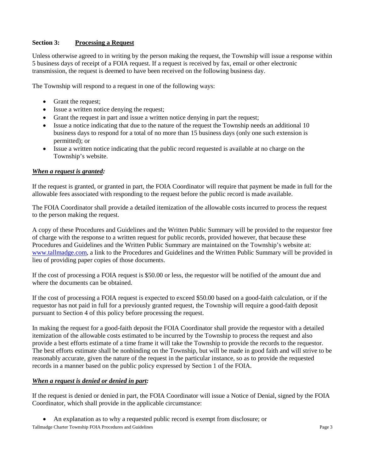### **Section 3: Processing a Request**

Unless otherwise agreed to in writing by the person making the request, the Township will issue a response within 5 business days of receipt of a FOIA request. If a request is received by fax, email or other electronic transmission, the request is deemed to have been received on the following business day.

The Township will respond to a request in one of the following ways:

- Grant the request;
- Issue a written notice denying the request;
- Grant the request in part and issue a written notice denying in part the request;
- Issue a notice indicating that due to the nature of the request the Township needs an additional 10 business days to respond for a total of no more than 15 business days (only one such extension is permitted); or
- Issue a written notice indicating that the public record requested is available at no charge on the Township's website.

#### *When a request is granted:*

If the request is granted, or granted in part, the FOIA Coordinator will require that payment be made in full for the allowable fees associated with responding to the request before the public record is made available.

The FOIA Coordinator shall provide a detailed itemization of the allowable costs incurred to process the request to the person making the request.

A copy of these Procedures and Guidelines and the Written Public Summary will be provided to the requestor free of charge with the response to a written request for public records, provided however, that because these Procedures and Guidelines and the Written Public Summary are maintained on the Township's website at: [www.tallmadge.com,](http://www.tallmadge.com/) a link to the Procedures and Guidelines and the Written Public Summary will be provided in lieu of providing paper copies of those documents.

If the cost of processing a FOIA request is \$50.00 or less, the requestor will be notified of the amount due and where the documents can be obtained.

If the cost of processing a FOIA request is expected to exceed \$50.00 based on a good-faith calculation, or if the requestor has not paid in full for a previously granted request, the Township will require a good-faith deposit pursuant to Section 4 of this policy before processing the request.

In making the request for a good-faith deposit the FOIA Coordinator shall provide the requestor with a detailed itemization of the allowable costs estimated to be incurred by the Township to process the request and also provide a best efforts estimate of a time frame it will take the Township to provide the records to the requestor. The best efforts estimate shall be nonbinding on the Township, but will be made in good faith and will strive to be reasonably accurate, given the nature of the request in the particular instance, so as to provide the requested records in a manner based on the public policy expressed by Section 1 of the FOIA.

#### *When a request is denied or denied in part:*

If the request is denied or denied in part, the FOIA Coordinator will issue a Notice of Denial, signed by the FOIA Coordinator, which shall provide in the applicable circumstance:

• An explanation as to why a requested public record is exempt from disclosure; or

Tallmadge Charter Township FOIA Procedures and Guidelines **Page 3 Page 3**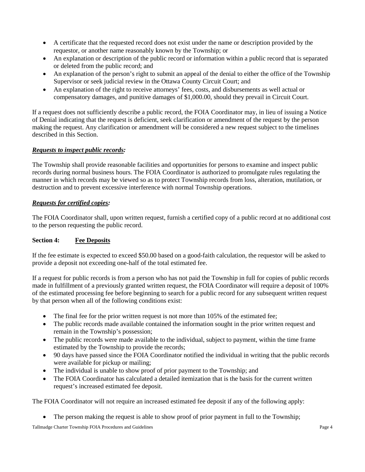- A certificate that the requested record does not exist under the name or description provided by the requestor, or another name reasonably known by the Township; or
- An explanation or description of the public record or information within a public record that is separated or deleted from the public record; and
- An explanation of the person's right to submit an appeal of the denial to either the office of the Township Supervisor or seek judicial review in the Ottawa County Circuit Court; and
- An explanation of the right to receive attorneys' fees, costs, and disbursements as well actual or compensatory damages, and punitive damages of \$1,000.00, should they prevail in Circuit Court.

If a request does not sufficiently describe a public record, the FOIA Coordinator may, in lieu of issuing a Notice of Denial indicating that the request is deficient, seek clarification or amendment of the request by the person making the request. Any clarification or amendment will be considered a new request subject to the timelines described in this Section.

## *Requests to inspect public records:*

The Township shall provide reasonable facilities and opportunities for persons to examine and inspect public records during normal business hours. The FOIA Coordinator is authorized to promulgate rules regulating the manner in which records may be viewed so as to protect Township records from loss, alteration, mutilation, or destruction and to prevent excessive interference with normal Township operations.

#### *Requests for certified copies:*

The FOIA Coordinator shall, upon written request, furnish a certified copy of a public record at no additional cost to the person requesting the public record.

#### **Section 4: Fee Deposits**

If the fee estimate is expected to exceed \$50.00 based on a good-faith calculation, the requestor will be asked to provide a deposit not exceeding one-half of the total estimated fee.

If a request for public records is from a person who has not paid the Township in full for copies of public records made in fulfillment of a previously granted written request, the FOIA Coordinator will require a deposit of 100% of the estimated processing fee before beginning to search for a public record for any subsequent written request by that person when all of the following conditions exist:

- The final fee for the prior written request is not more than  $105\%$  of the estimated fee;
- The public records made available contained the information sought in the prior written request and remain in the Township's possession;
- The public records were made available to the individual, subject to payment, within the time frame estimated by the Township to provide the records;
- 90 days have passed since the FOIA Coordinator notified the individual in writing that the public records were available for pickup or mailing;
- The individual is unable to show proof of prior payment to the Township; and
- The FOIA Coordinator has calculated a detailed itemization that is the basis for the current written request's increased estimated fee deposit.

The FOIA Coordinator will not require an increased estimated fee deposit if any of the following apply:

The person making the request is able to show proof of prior payment in full to the Township;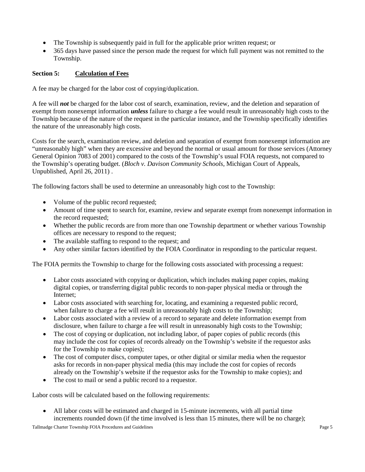- The Township is subsequently paid in full for the applicable prior written request; or
- 365 days have passed since the person made the request for which full payment was not remitted to the Township.

## **Section 5: Calculation of Fees**

A fee may be charged for the labor cost of copying/duplication.

A fee will *not* be charged for the labor cost of search, examination, review, and the deletion and separation of exempt from nonexempt information *unless* failure to charge a fee would result in unreasonably high costs to the Township because of the nature of the request in the particular instance, and the Township specifically identifies the nature of the unreasonably high costs.

Costs for the search, examination review, and deletion and separation of exempt from nonexempt information are "unreasonably high" when they are excessive and beyond the normal or usual amount for those services (Attorney General Opinion 7083 of 2001) compared to the costs of the Township's usual FOIA requests, not compared to the Township's operating budget. (*Bloch v. Davison Community Schools*, Michigan Court of Appeals, Unpublished, April 26, 2011) .

The following factors shall be used to determine an unreasonably high cost to the Township:

- Volume of the public record requested;
- Amount of time spent to search for, examine, review and separate exempt from nonexempt information in the record requested;
- Whether the public records are from more than one Township department or whether various Township offices are necessary to respond to the request;
- The available staffing to respond to the request; and
- Any other similar factors identified by the FOIA Coordinator in responding to the particular request.

The FOIA permits the Township to charge for the following costs associated with processing a request:

- Labor costs associated with copying or duplication, which includes making paper copies, making digital copies, or transferring digital public records to non-paper physical media or through the Internet;
- Labor costs associated with searching for, locating, and examining a requested public record, when failure to charge a fee will result in unreasonably high costs to the Township;
- Labor costs associated with a review of a record to separate and delete information exempt from disclosure, when failure to charge a fee will result in unreasonably high costs to the Township;
- The cost of copying or duplication, not including labor, of paper copies of public records (this may include the cost for copies of records already on the Township's website if the requestor asks for the Township to make copies);
- The cost of computer discs, computer tapes, or other digital or similar media when the requestor asks for records in non-paper physical media (this may include the cost for copies of records already on the Township's website if the requestor asks for the Township to make copies); and
- The cost to mail or send a public record to a requestor.

Labor costs will be calculated based on the following requirements:

• All labor costs will be estimated and charged in 15-minute increments, with all partial time increments rounded down (if the time involved is less than 15 minutes, there will be no charge);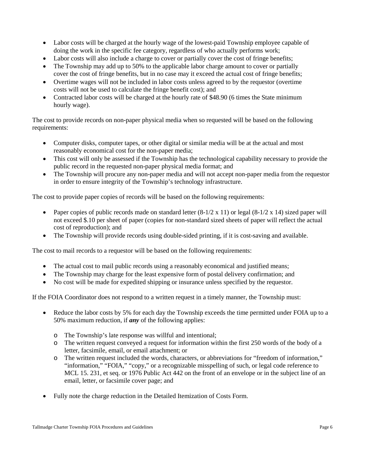- Labor costs will be charged at the hourly wage of the lowest-paid Township employee capable of doing the work in the specific fee category, regardless of who actually performs work;
- Labor costs will also include a charge to cover or partially cover the cost of fringe benefits;
- The Township may add up to 50% to the applicable labor charge amount to cover or partially cover the cost of fringe benefits, but in no case may it exceed the actual cost of fringe benefits;
- Overtime wages will not be included in labor costs unless agreed to by the requestor (overtime costs will not be used to calculate the fringe benefit cost); and
- Contracted labor costs will be charged at the hourly rate of \$48.90 (6 times the State minimum hourly wage).

The cost to provide records on non-paper physical media when so requested will be based on the following requirements:

- Computer disks, computer tapes, or other digital or similar media will be at the actual and most reasonably economical cost for the non-paper media;
- This cost will only be assessed if the Township has the technological capability necessary to provide the public record in the requested non-paper physical media format; and
- The Township will procure any non-paper media and will not accept non-paper media from the requestor in order to ensure integrity of the Township's technology infrastructure.

The cost to provide paper copies of records will be based on the following requirements:

- Paper copies of public records made on standard letter  $(8-1/2 \times 11)$  or legal  $(8-1/2 \times 14)$  sized paper will not exceed \$.10 per sheet of paper (copies for non-standard sized sheets of paper will reflect the actual cost of reproduction); and
- The Township will provide records using double-sided printing, if it is cost-saving and available.

The cost to mail records to a requestor will be based on the following requirements:

- The actual cost to mail public records using a reasonably economical and justified means;
- The Township may charge for the least expensive form of postal delivery confirmation; and
- No cost will be made for expedited shipping or insurance unless specified by the requestor.

If the FOIA Coordinator does not respond to a written request in a timely manner, the Township must:

- Reduce the labor costs by 5% for each day the Township exceeds the time permitted under FOIA up to a 50% maximum reduction, if *any* of the following applies:
	- o The Township's late response was willful and intentional;
	- o The written request conveyed a request for information within the first 250 words of the body of a letter, facsimile, email, or email attachment; or
	- o The written request included the words, characters, or abbreviations for "freedom of information," "information," "FOIA," "copy," or a recognizable misspelling of such, or legal code reference to MCL 15. 231, et seq. or 1976 Public Act 442 on the front of an envelope or in the subject line of an email, letter, or facsimile cover page; and
- Fully note the charge reduction in the Detailed Itemization of Costs Form.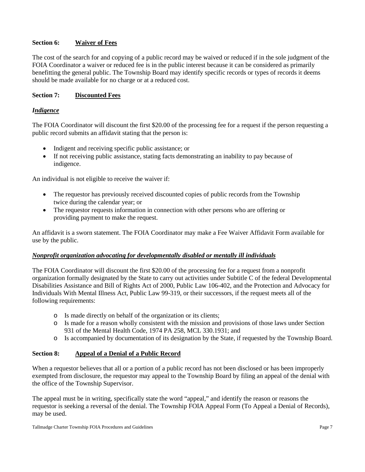### **Section 6: Waiver of Fees**

The cost of the search for and copying of a public record may be waived or reduced if in the sole judgment of the FOIA Coordinator a waiver or reduced fee is in the public interest because it can be considered as primarily benefitting the general public. The Township Board may identify specific records or types of records it deems should be made available for no charge or at a reduced cost.

#### **Section 7: Discounted Fees**

#### *Indigence*

The FOIA Coordinator will discount the first \$20.00 of the processing fee for a request if the person requesting a public record submits an affidavit stating that the person is:

- Indigent and receiving specific public assistance; or
- If not receiving public assistance, stating facts demonstrating an inability to pay because of indigence.

An individual is not eligible to receive the waiver if:

- The requestor has previously received discounted copies of public records from the Township twice during the calendar year; or
- The requestor requests information in connection with other persons who are offering or providing payment to make the request.

An affidavit is a sworn statement. The FOIA Coordinator may make a Fee Waiver Affidavit Form available for use by the public.

#### *Nonprofit organization advocating for developmentally disabled or mentally ill individuals*

The FOIA Coordinator will discount the first \$20.00 of the processing fee for a request from a nonprofit organization formally designated by the State to carry out activities under Subtitle C of the federal Developmental Disabilities Assistance and Bill of Rights Act of 2000, Public Law 106-402, and the Protection and Advocacy for Individuals With Mental Illness Act, Public Law 99-319, or their successors, if the request meets all of the following requirements:

- o Is made directly on behalf of the organization or its clients;
- o Is made for a reason wholly consistent with the mission and provisions of those laws under Section 931 of the Mental Health Code, 1974 PA 258, MCL 330.1931; and
- o Is accompanied by documentation of its designation by the State, if requested by the Township Board.

#### **Section 8: Appeal of a Denial of a Public Record**

When a requestor believes that all or a portion of a public record has not been disclosed or has been improperly exempted from disclosure, the requestor may appeal to the Township Board by filing an appeal of the denial with the office of the Township Supervisor.

The appeal must be in writing, specifically state the word "appeal," and identify the reason or reasons the requestor is seeking a reversal of the denial. The Township FOIA Appeal Form (To Appeal a Denial of Records), may be used.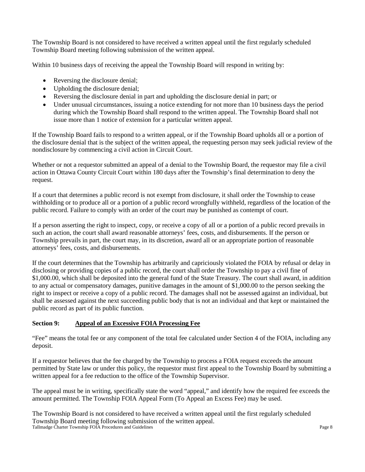The Township Board is not considered to have received a written appeal until the first regularly scheduled Township Board meeting following submission of the written appeal.

Within 10 business days of receiving the appeal the Township Board will respond in writing by:

- Reversing the disclosure denial;
- Upholding the disclosure denial;
- Reversing the disclosure denial in part and upholding the disclosure denial in part; or
- Under unusual circumstances, issuing a notice extending for not more than 10 business days the period during which the Township Board shall respond to the written appeal. The Township Board shall not issue more than 1 notice of extension for a particular written appeal.

If the Township Board fails to respond to a written appeal, or if the Township Board upholds all or a portion of the disclosure denial that is the subject of the written appeal, the requesting person may seek judicial review of the nondisclosure by commencing a civil action in Circuit Court.

Whether or not a requestor submitted an appeal of a denial to the Township Board, the requestor may file a civil action in Ottawa County Circuit Court within 180 days after the Township's final determination to deny the request.

If a court that determines a public record is not exempt from disclosure, it shall order the Township to cease withholding or to produce all or a portion of a public record wrongfully withheld, regardless of the location of the public record. Failure to comply with an order of the court may be punished as contempt of court.

If a person asserting the right to inspect, copy, or receive a copy of all or a portion of a public record prevails in such an action, the court shall award reasonable attorneys' fees, costs, and disbursements. If the person or Township prevails in part, the court may, in its discretion, award all or an appropriate portion of reasonable attorneys' fees, costs, and disbursements.

If the court determines that the Township has arbitrarily and capriciously violated the FOIA by refusal or delay in disclosing or providing copies of a public record, the court shall order the Township to pay a civil fine of \$1,000.00, which shall be deposited into the general fund of the State Treasury. The court shall award, in addition to any actual or compensatory damages, punitive damages in the amount of \$1,000.00 to the person seeking the right to inspect or receive a copy of a public record. The damages shall not be assessed against an individual, but shall be assessed against the next succeeding public body that is not an individual and that kept or maintained the public record as part of its public function.

## **Section 9: Appeal of an Excessive FOIA Processing Fee**

"Fee" means the total fee or any component of the total fee calculated under Section 4 of the FOIA, including any deposit.

If a requestor believes that the fee charged by the Township to process a FOIA request exceeds the amount permitted by State law or under this policy, the requestor must first appeal to the Township Board by submitting a written appeal for a fee reduction to the office of the Township Supervisor.

The appeal must be in writing, specifically state the word "appeal," and identify how the required fee exceeds the amount permitted. The Township FOIA Appeal Form (To Appeal an Excess Fee) may be used.

Tallmadge Charter Township FOIA Procedures and Guidelines **Page 8** and Contact Page 8 and Guidelines **Page 8** and Contact Page 8 and Contact Page 8 and Contact Page 8 and Contact Page 8 and Contact Page 8 and Contact Page The Township Board is not considered to have received a written appeal until the first regularly scheduled Township Board meeting following submission of the written appeal.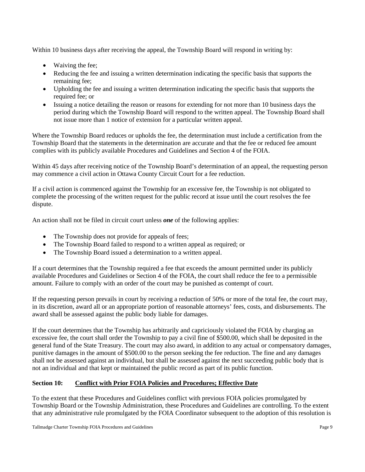Within 10 business days after receiving the appeal, the Township Board will respond in writing by:

- Waiving the fee;
- Reducing the fee and issuing a written determination indicating the specific basis that supports the remaining fee;
- Upholding the fee and issuing a written determination indicating the specific basis that supports the required fee; or
- Issuing a notice detailing the reason or reasons for extending for not more than 10 business days the period during which the Township Board will respond to the written appeal. The Township Board shall not issue more than 1 notice of extension for a particular written appeal.

Where the Township Board reduces or upholds the fee, the determination must include a certification from the Township Board that the statements in the determination are accurate and that the fee or reduced fee amount complies with its publicly available Procedures and Guidelines and Section 4 of the FOIA.

Within 45 days after receiving notice of the Township Board's determination of an appeal, the requesting person may commence a civil action in Ottawa County Circuit Court for a fee reduction.

If a civil action is commenced against the Township for an excessive fee, the Township is not obligated to complete the processing of the written request for the public record at issue until the court resolves the fee dispute.

An action shall not be filed in circuit court unless *one* of the following applies:

- The Township does not provide for appeals of fees;
- The Township Board failed to respond to a written appeal as required; or
- The Township Board issued a determination to a written appeal.

If a court determines that the Township required a fee that exceeds the amount permitted under its publicly available Procedures and Guidelines or Section 4 of the FOIA, the court shall reduce the fee to a permissible amount. Failure to comply with an order of the court may be punished as contempt of court.

If the requesting person prevails in court by receiving a reduction of 50% or more of the total fee, the court may, in its discretion, award all or an appropriate portion of reasonable attorneys' fees, costs, and disbursements. The award shall be assessed against the public body liable for damages.

If the court determines that the Township has arbitrarily and capriciously violated the FOIA by charging an excessive fee, the court shall order the Township to pay a civil fine of \$500.00, which shall be deposited in the general fund of the State Treasury. The court may also award, in addition to any actual or compensatory damages, punitive damages in the amount of \$500.00 to the person seeking the fee reduction. The fine and any damages shall not be assessed against an individual, but shall be assessed against the next succeeding public body that is not an individual and that kept or maintained the public record as part of its public function.

## **Section 10: Conflict with Prior FOIA Policies and Procedures; Effective Date**

To the extent that these Procedures and Guidelines conflict with previous FOIA policies promulgated by Township Board or the Township Administration, these Procedures and Guidelines are controlling. To the extent that any administrative rule promulgated by the FOIA Coordinator subsequent to the adoption of this resolution is